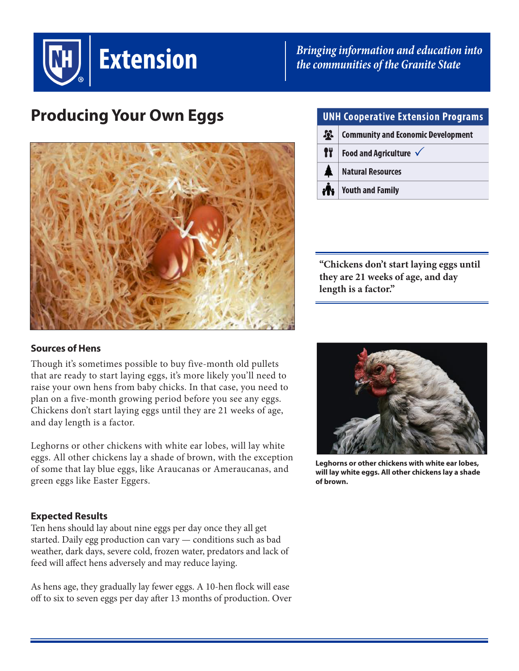

*Bringing information and education into the communities of the Granite State*

# **Producing Your Own Eggs**



### **UNH Cooperative Extension Programs**

| $\boldsymbol{\mathcal{R}}$ | <b>Community and Economic Development</b>       |
|----------------------------|-------------------------------------------------|
| fŸ                         | Food and Agriculture $\sqrt{}$                  |
| $\blacktriangle$           | Natural Resources                               |
|                            | <b>in Provision Provide</b> Point Part of Party |

**"Chickens don't start laying eggs until they are 21 weeks of age, and day length is a factor."**

### **Sources of Hens**

Though it's sometimes possible to buy five-month old pullets that are ready to start laying eggs, it's more likely you'll need to raise your own hens from baby chicks. In that case, you need to plan on a five-month growing period before you see any eggs. Chickens don't start laying eggs until they are 21 weeks of age, and day length is a factor.

Leghorns or other chickens with white ear lobes, will lay white eggs. All other chickens lay a shade of brown, with the exception of some that lay blue eggs, like Araucanas or Ameraucanas, and green eggs like Easter Eggers.

### **Expected Results**

Ten hens should lay about nine eggs per day once they all get started. Daily egg production can vary — conditions such as bad weather, dark days, severe cold, frozen water, predators and lack of feed will affect hens adversely and may reduce laying.

As hens age, they gradually lay fewer eggs. A 10-hen flock will ease off to six to seven eggs per day after 13 months of production. Over



**Leghorns or other chickens with white ear lobes, will lay white eggs. All other chickens lay a shade of brown.**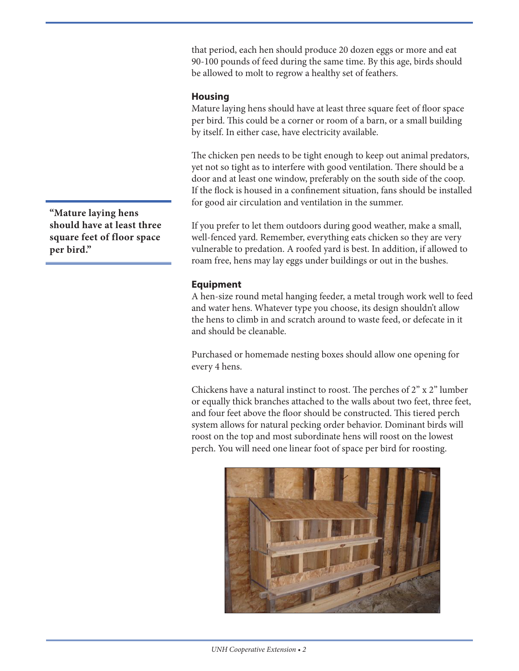that period, each hen should produce 20 dozen eggs or more and eat 90-100 pounds of feed during the same time. By this age, birds should be allowed to molt to regrow a healthy set of feathers.

#### **Housing**

Mature laying hens should have at least three square feet of floor space per bird. This could be a corner or room of a barn, or a small building by itself. In either case, have electricity available.

The chicken pen needs to be tight enough to keep out animal predators, yet not so tight as to interfere with good ventilation. There should be a door and at least one window, preferably on the south side of the coop. If the flock is housed in a confinement situation, fans should be installed for good air circulation and ventilation in the summer.

If you prefer to let them outdoors during good weather, make a small, well-fenced yard. Remember, everything eats chicken so they are very vulnerable to predation. A roofed yard is best. In addition, if allowed to roam free, hens may lay eggs under buildings or out in the bushes.

### **Equipment**

A hen-size round metal hanging feeder, a metal trough work well to feed and water hens. Whatever type you choose, its design shouldn't allow the hens to climb in and scratch around to waste feed, or defecate in it and should be cleanable.

Purchased or homemade nesting boxes should allow one opening for every 4 hens.

Chickens have a natural instinct to roost. The perches of 2" x 2" lumber or equally thick branches attached to the walls about two feet, three feet, and four feet above the floor should be constructed. This tiered perch system allows for natural pecking order behavior. Dominant birds will roost on the top and most subordinate hens will roost on the lowest perch. You will need one linear foot of space per bird for roosting.



**"Mature laying hens should have at least three square feet of floor space per bird."**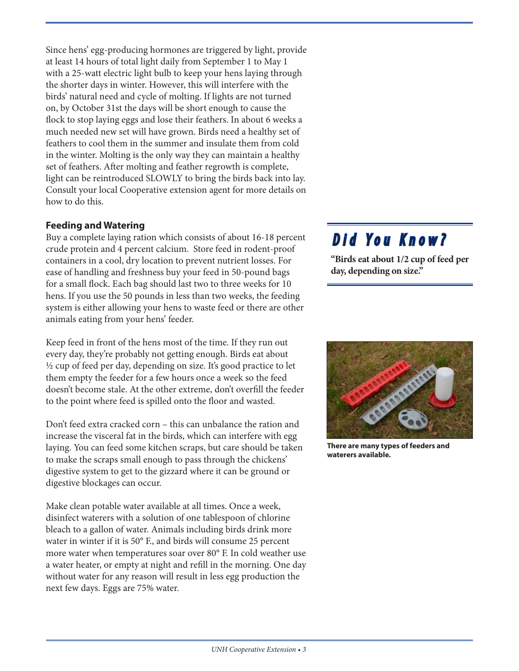Since hens' egg-producing hormones are triggered by light, provide at least 14 hours of total light daily from September 1 to May 1 with a 25-watt electric light bulb to keep your hens laying through the shorter days in winter. However, this will interfere with the birds' natural need and cycle of molting. If lights are not turned on, by October 31st the days will be short enough to cause the flock to stop laying eggs and lose their feathers. In about 6 weeks a much needed new set will have grown. Birds need a healthy set of feathers to cool them in the summer and insulate them from cold in the winter. Molting is the only way they can maintain a healthy set of feathers. After molting and feather regrowth is complete, light can be reintroduced SLOWLY to bring the birds back into lay. Consult your local Cooperative extension agent for more details on how to do this.

### **Feeding and Watering**

Buy a complete laying ration which consists of about 16-18 percent crude protein and 4 percent calcium. Store feed in rodent-proof containers in a cool, dry location to prevent nutrient losses. For ease of handling and freshness buy your feed in 50-pound bags for a small flock. Each bag should last two to three weeks for 10 hens. If you use the 50 pounds in less than two weeks, the feeding system is either allowing your hens to waste feed or there are other animals eating from your hens' feeder.

Keep feed in front of the hens most of the time. If they run out every day, they're probably not getting enough. Birds eat about ½ cup of feed per day, depending on size. It's good practice to let them empty the feeder for a few hours once a week so the feed doesn't become stale. At the other extreme, don't overfill the feeder to the point where feed is spilled onto the floor and wasted.

Don't feed extra cracked corn – this can unbalance the ration and increase the visceral fat in the birds, which can interfere with egg laying. You can feed some kitchen scraps, but care should be taken to make the scraps small enough to pass through the chickens' digestive system to get to the gizzard where it can be ground or digestive blockages can occur.

Make clean potable water available at all times. Once a week, disinfect waterers with a solution of one tablespoon of chlorine bleach to a gallon of water. Animals including birds drink more water in winter if it is 50° F., and birds will consume 25 percent more water when temperatures soar over 80° F. In cold weather use a water heater, or empty at night and refill in the morning. One day without water for any reason will result in less egg production the next few days. Eggs are 75% water.

# *Did You Know?*

**"Birds eat about 1/2 cup of feed per day, depending on size."**



**There are many types of feeders and waterers available.**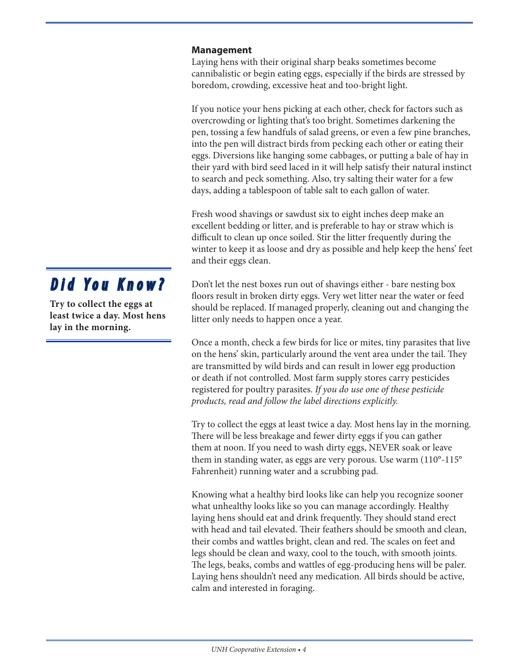### **Management**

Laying hens with their original sharp beaks sometimes become cannibalistic or begin eating eggs, especially if the birds are stressed by boredom, crowding, excessive heat and too-bright light.

If you notice your hens picking at each other, check for factors such as overcrowding or lighting that's too bright. Sometimes darkening the pen, tossing a few handfuls of salad greens, or even a few pine branches, into the pen will distract birds from pecking each other or eating their eggs. Diversions like hanging some cabbages, or putting a bale of hay in their yard with bird seed laced in it will help satisfy their natural instinct to search and peck something. Also, try salting their water for a few days, adding a tablespoon of table salt to each gallon of water.

Fresh wood shavings or sawdust six to eight inches deep make an excellent bedding or litter, and is preferable to hay or straw which is difficult to clean up once soiled. Stir the litter frequently during the winter to keep it as loose and dry as possible and help keep the hens' feet and their eggs clean.

Don't let the nest boxes run out of shavings either - bare nesting box floors result in broken dirty eggs. Very wet litter near the water or feed should be replaced. If managed properly, cleaning out and changing the litter only needs to happen once a year.

Once a month, check a few birds for lice or mites, tiny parasites that live on the hens' skin, particularly around the vent area under the tail. They are transmitted by wild birds and can result in lower egg production or death if not controlled. Most farm supply stores carry pesticides registered for poultry parasites. *If you do use one of these pesticide products, read and follow the label directions explicitly.*

Try to collect the eggs at least twice a day. Most hens lay in the morning. There will be less breakage and fewer dirty eggs if you can gather them at noon. If you need to wash dirty eggs, NEVER soak or leave them in standing water, as eggs are very porous. Use warm (110°-115° Fahrenheit) running water and a scrubbing pad.

Knowing what a healthy bird looks like can help you recognize sooner what unhealthy looks like so you can manage accordingly. Healthy laying hens should eat and drink frequently. They should stand erect with head and tail elevated. Their feathers should be smooth and clean, their combs and wattles bright, clean and red. The scales on feet and legs should be clean and waxy, cool to the touch, with smooth joints. The legs, beaks, combs and wattles of egg-producing hens will be paler. Laying hens shouldn't need any medication. All birds should be active, calm and interested in foraging.

# *Did You Know?*

**Try to collect the eggs at least twice a day. Most hens lay in the morning.**